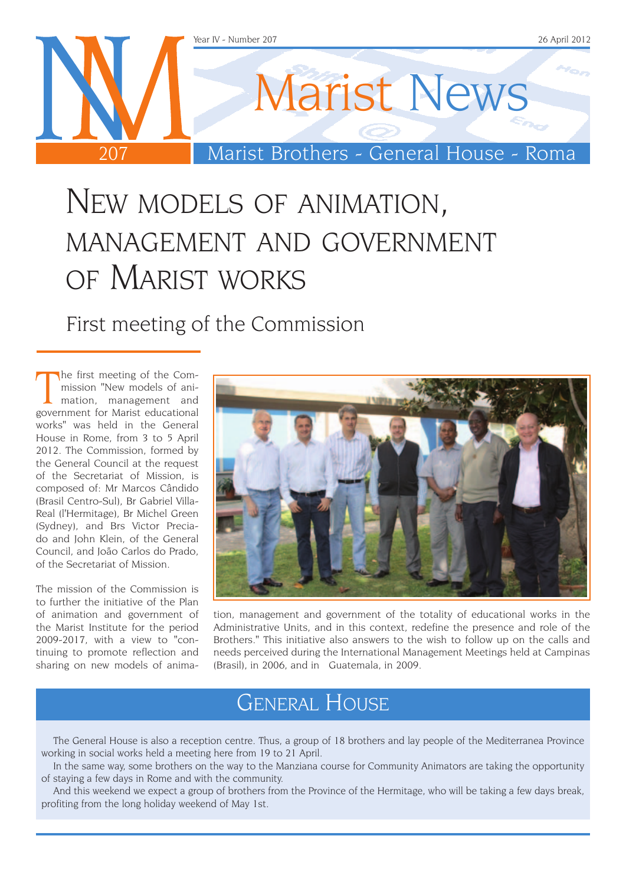

## New models of animation, management and government of Marist works

First meeting of the Commission

The first meeting of the Commission "New models of ani-<br>mation, management and<br>government for Marist educational he first meeting of the Commission "New models of animation, management and works" was held in the General House in Rome, from 3 to 5 April 2012. The Commission, formed by the General Council at the request of the Secretariat of Mission, is composed of: Mr Marcos Cândido (Brasil Centro-Sul), Br Gabriel Villa-Real (l'Hermitage), Br Michel Green (Sydney), and Brs Victor Preciado and John Klein, of the General Council, and João Carlos do Prado, of the Secretariat of Mission.

The mission of the Commission is to further the initiative of the Plan of animation and government of the Marist Institute for the period 2009-2017, with a view to "continuing to promote reflection and sharing on new models of anima-



tion, management and government of the totality of educational works in the Administrative Units, and in this context, redefine the presence and role of the Brothers." This initiative also answers to the wish to follow up on the calls and needs perceived during the International Management Meetings held at Campinas (Brasil), in 2006, and in Guatemala, in 2009.

### General House

The General House is also a reception centre. Thus, a group of 18 brothers and lay people of the Mediterranea Province working in social works held a meeting here from 19 to 21 April.

In the same way, some brothers on the way to the Manziana course for Community Animators are taking the opportunity of staying a few days in Rome and with the community.

And this weekend we expect a group of brothers from the Province of the Hermitage, who will be taking a few days break, profiting from the long holiday weekend of May 1st.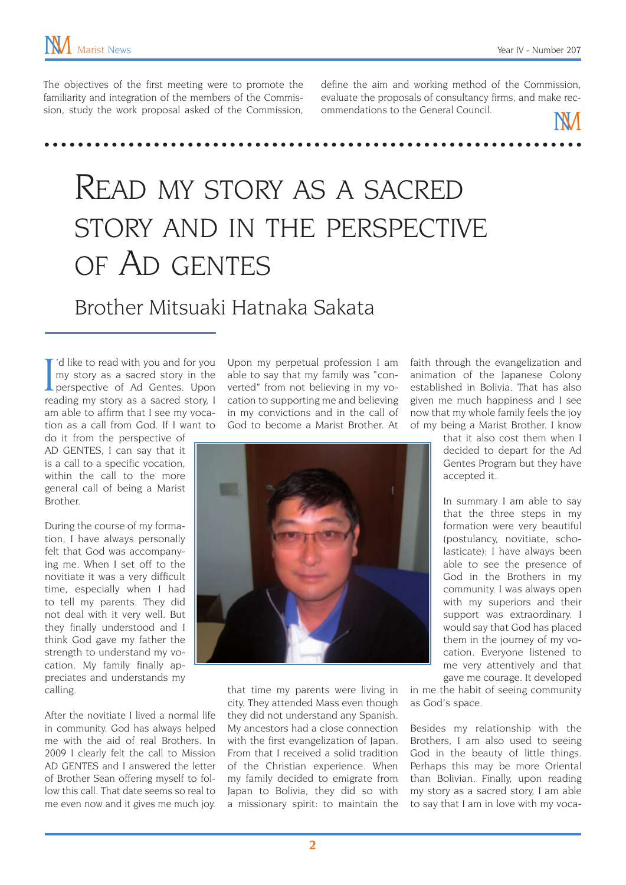The objectives of the first meeting were to promote the familiarity and integration of the members of the Commission, study the work proposal asked of the Commission, define the aim and working method of the Commission, evaluate the proposals of consultancy firms, and make recommendations to the General Council.

## Read my story as a sacred story and in the perspective of Ad gentes

### Brother Mitsuaki Hatnaka Sakata

I'd like to read with you and for you<br>my story as a sacred story in the<br>perspective of Ad Gentes. Upon<br>reading my story as a sacred story, I 'd like to read with you and for you my story as a sacred story in the perspective of Ad Gentes. Upon am able to affirm that I see my vocation as a call from God. If I want to

do it from the perspective of AD GENTES, I can say that it is a call to a specific vocation, within the call to the more general call of being a Marist Brother.

During the course of my formation, I have always personally felt that God was accompanying me. When I set off to the novitiate it was a very difficult time, especially when I had to tell my parents. They did not deal with it very well. But they finally understood and I think God gave my father the strength to understand my vocation. My family finally appreciates and understands my calling.

After the novitiate I lived a normal life in community. God has always helped me with the aid of real Brothers. In 2009 I clearly felt the call to Mission AD GENTES and I answered the letter of Brother Sean offering myself to follow this call. That date seems so real to me even now and it gives me much joy.

Upon my perpetual profession I am able to say that my family was "converted" from not believing in my vocation to supporting me and believing in my convictions and in the call of God to become a Marist Brother. At



that time my parents were living in city. They attended Mass even though they did not understand any Spanish. My ancestors had a close connection with the first evangelization of Japan. From that I received a solid tradition of the Christian experience. When my family decided to emigrate from Japan to Bolivia, they did so with a missionary spirit: to maintain the

faith through the evangelization and animation of the Japanese Colony established in Bolivia. That has also given me much happiness and I see now that my whole family feels the joy of my being a Marist Brother. I know

> that it also cost them when I decided to depart for the Ad Gentes Program but they have accepted it.

> In summary I am able to say that the three steps in my formation were very beautiful (postulancy, novitiate, scholasticate): I have always been able to see the presence of God in the Brothers in my community. I was always open with my superiors and their support was extraordinary. I would say that God has placed them in the journey of my vocation. Everyone listened to me very attentively and that gave me courage. It developed

in me the habit of seeing community as God's space.

Besides my relationship with the Brothers, I am also used to seeing God in the beauty of little things. Perhaps this may be more Oriental than Bolivian. Finally, upon reading my story as a sacred story, I am able to say that I am in love with my voca-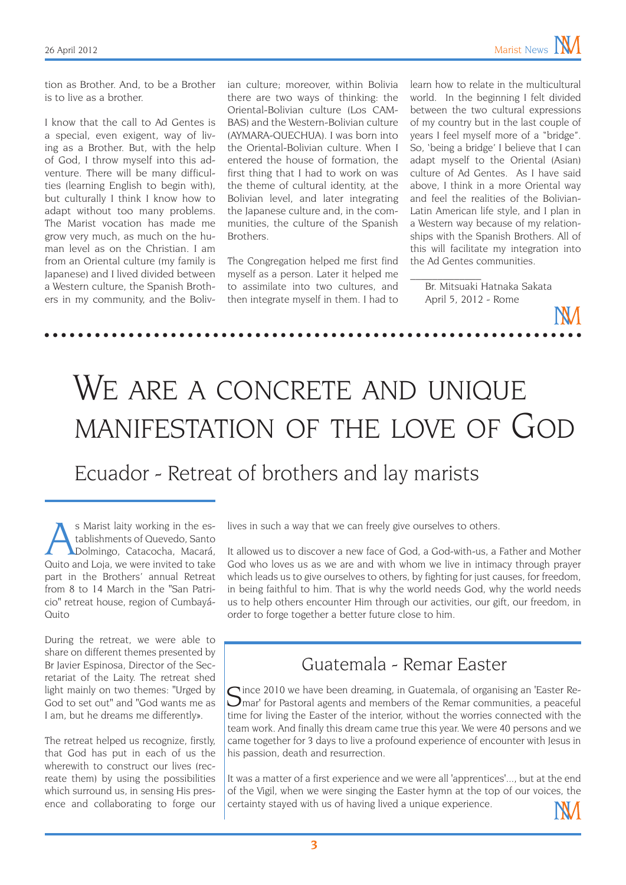tion as Brother. And, to be a Brother is to live as a brother.

I know that the call to Ad Gentes is a special, even exigent, way of living as a Brother. But, with the help of God, I throw myself into this adventure. There will be many difficulties (learning English to begin with), but culturally I think I know how to adapt without too many problems. The Marist vocation has made me grow very much, as much on the human level as on the Christian. I am from an Oriental culture (my family is Japanese) and I lived divided between a Western culture, the Spanish Brothers in my community, and the Bolivian culture; moreover, within Bolivia there are two ways of thinking: the Oriental-Bolivian culture (Los CAM-BAS) and the Western-Bolivian culture (AYMARA-QUECHUA). I was born into the Oriental-Bolivian culture. When I entered the house of formation, the first thing that I had to work on was the theme of cultural identity, at the Bolivian level, and later integrating the Japanese culture and, in the communities, the culture of the Spanish Brothers.

The Congregation helped me first find myself as a person. Later it helped me to assimilate into two cultures, and then integrate myself in them. I had to learn how to relate in the multicultural world. In the beginning I felt divided between the two cultural expressions of my country but in the last couple of years I feel myself more of a "bridge". So, 'being a bridge' I believe that I can adapt myself to the Oriental (Asian) culture of Ad Gentes. As I have said above, I think in a more Oriental way and feel the realities of the Bolivian-Latin American life style, and I plan in a Western way because of my relationships with the Spanish Brothers. All of this will facilitate my integration into the Ad Gentes communities.

Br. Mitsuaki Hatnaka Sakata April 5, 2012 - Rome

 $\overline{\phantom{a}}$ 

# WE ARE A CONCRETE AND UNIQUE manifestation of the love of God

#### Ecuador - Retreat of brothers and lay marists

s Marist laity working in the es-<br>tablishments of Quevedo, Santo<br>Dolmingo, Catacocha, Macará,<br>Quito and Loja, we were invited to take tablishments of Quevedo, Santo Dolmingo, Catacocha, Macará, Quito and Loja, we were invited to take part in the Brothers' annual Retreat from 8 to 14 March in the "San Patricio" retreat house, region of Cumbayá-Quito

During the retreat, we were able to share on different themes presented by Br Javier Espinosa, Director of the Secretariat of the Laity. The retreat shed light mainly on two themes: "Urged by God to set out" and "God wants me as I am, but he dreams me differently».

The retreat helped us recognize, firstly, that God has put in each of us the wherewith to construct our lives (recreate them) by using the possibilities which surround us, in sensing His presence and collaborating to forge our lives in such a way that we can freely give ourselves to others.

It allowed us to discover a new face of God, a God-with-us, a Father and Mother God who loves us as we are and with whom we live in intimacy through prayer which leads us to give ourselves to others, by fighting for just causes, for freedom, in being faithful to him. That is why the world needs God, why the world needs us to help others encounter Him through our activities, our gift, our freedom, in order to forge together a better future close to him.

#### Guatemala - Remar Easter

Since 2010 we have been dreaming, in Guatemala, of organising an 'Easter Re-<br>Smar' for Pastoral agents and members of the Remar communities, a peaceful time for living the Easter of the interior, without the worries connected with the team work. And finally this dream came true this year. We were 40 persons and we came together for 3 days to live a profound experience of encounter with Jesus in his passion, death and resurrection.

It was a matter of a first experience and we were all 'apprentices'..., but at the end of the Vigil, when we were singing the Easter hymn at the top of our voices, the certainty stayed with us of having lived a unique experience.